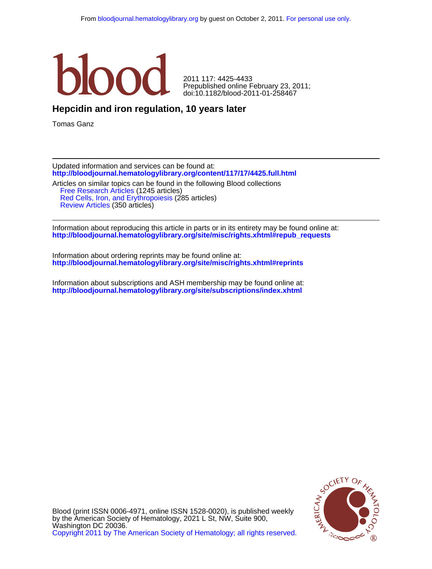

doi:10.1182/blood-2011-01-258467 Prepublished online February 23, 2011; 2011 117: 4425-4433

**Hepcidin and iron regulation, 10 years later**

Tomas Ganz

**<http://bloodjournal.hematologylibrary.org/content/117/17/4425.full.html>** Updated information and services can be found at:

Red Cells, Iron, and Erythropoiesis (285 articles)<br>[Review Articles](http://bloodjournal.hematologylibrary.org/cgi/collection/review_articles) [\(350 articles\)](http://bloodjournal.hematologylibrary.org/cgi/collection/iron_red_cells_erythropoiesis) [Free Research Articles](http://bloodjournal.hematologylibrary.org/cgi/collection/free_research_articles) (1245 articles) Articles on similar topics can be found in the following Blood collections

**[http://bloodjournal.hematologylibrary.org/site/misc/rights.xhtml#repub\\_requests](http://bloodjournal.hematologylibrary.org/site/misc/rights.xhtml#repub_requests)** Information about reproducing this article in parts or in its entirety may be found online at:

**<http://bloodjournal.hematologylibrary.org/site/misc/rights.xhtml#reprints>** Information about ordering reprints may be found online at:

**<http://bloodjournal.hematologylibrary.org/site/subscriptions/index.xhtml>** Information about subscriptions and ASH membership may be found online at:



[Copyright 2011 by The American Society of Hematology; all rights reserved.](http://bloodjournal.hematologylibrary.org/subscriptions/ToS.dtl) Washington DC 20036. by the American Society of Hematology, 2021 L St, NW, Suite 900, Blood (print ISSN 0006-4971, online ISSN 1528-0020), is published weekly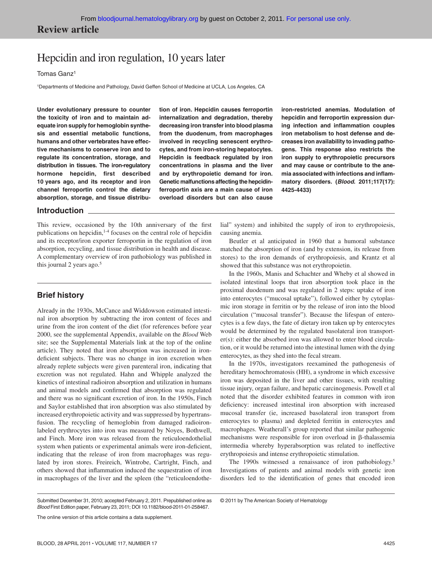# Hepcidin and iron regulation, 10 years later

Tomas Ganz<sup>1</sup>

1Departments of Medicine and Pathology, David Geffen School of Medicine at UCLA, Los Angeles, CA

**Under evolutionary pressure to counter the toxicity of iron and to maintain adequate iron supply for hemoglobin synthesis and essential metabolic functions, humans and other vertebrates have effective mechanisms to conserve iron and to regulate its concentration, storage, and distribution in tissues. The iron-regulatory hormone hepcidin, first described 10 years ago, and its receptor and iron channel ferroportin control the dietary absorption, storage, and tissue distribu-**

**tion of iron. Hepcidin causes ferroportin internalization and degradation, thereby decreasing iron transfer into blood plasma from the duodenum, from macrophages involved in recycling senescent erythrocytes, and from iron-storing hepatocytes. Hepcidin is feedback regulated by iron concentrations in plasma and the liver and by erythropoietic demand for iron. Genetic malfunctions affecting the hepcidinferroportin axis are a main cause of iron overload disorders but can also cause** **iron-restricted anemias. Modulation of hepcidin and ferroportin expression during infection and inflammation couples iron metabolism to host defense and decreases iron availability to invading pathogens. This response also restricts the iron supply to erythropoietic precursors and may cause or contribute to the anemia associated with infections and inflammatory disorders. (***Blood***. 2011;117(17): 4425-4433)**

#### **Introduction**

This review, occasioned by the 10th anniversary of the first publications on hepcidin,<sup>1-4</sup> focuses on the central role of hepcidin and its receptor/iron exporter ferroportin in the regulation of iron absorption, recycling, and tissue distribution in health and disease. A complementary overview of iron pathobiology was published in this journal 2 years ago.<sup>5</sup>

# **Brief history**

Already in the 1930s, McCance and Widdowson estimated intestinal iron absorption by subtracting the iron content of feces and urine from the iron content of the diet (for references before year 2000, see the supplemental Appendix, available on the *Blood* Web site; see the Supplemental Materials link at the top of the online article). They noted that iron absorption was increased in irondeficient subjects. There was no change in iron excretion when already replete subjects were given parenteral iron, indicating that excretion was not regulated. Hahn and Whipple analyzed the kinetics of intestinal radioiron absorption and utilization in humans and animal models and confirmed that absorption was regulated and there was no significant excretion of iron. In the 1950s, Finch and Saylor established that iron absorption was also stimulated by increased erythropoietic activity and was suppressed by hypertransfusion. The recycling of hemoglobin from damaged radioironlabeled erythrocytes into iron was measured by Noyes, Bothwell, and Finch. More iron was released from the reticuloendothelial system when patients or experimental animals were iron-deficient, indicating that the release of iron from macrophages was regulated by iron stores. Freireich, Wintrobe, Cartright, Finch, and others showed that inflammation induced the sequestration of iron in macrophages of the liver and the spleen (the "reticuloendothelial" system) and inhibited the supply of iron to erythropoiesis, causing anemia.

Beutler et al anticipated in 1960 that a humoral substance matched the absorption of iron (and by extension, its release from stores) to the iron demands of erythropoiesis, and Krantz et al showed that this substance was not erythropoietin.

In the 1960s, Manis and Schachter and Wheby et al showed in isolated intestinal loops that iron absorption took place in the proximal duodenum and was regulated in 2 steps: uptake of iron into enterocytes ("mucosal uptake"), followed either by cytoplasmic iron storage in ferritin or by the release of iron into the blood circulation ("mucosal transfer"). Because the lifespan of enterocytes is a few days, the fate of dietary iron taken up by enterocytes would be determined by the regulated basolateral iron transporter(s): either the absorbed iron was allowed to enter blood circulation, or it would be returned into the intestinal lumen with the dying enterocytes, as they shed into the fecal stream.

In the 1970s, investigators reexamined the pathogenesis of hereditary hemochromatosis (HH), a syndrome in which excessive iron was deposited in the liver and other tissues, with resulting tissue injury, organ failure, and hepatic carcinogenesis. Powell et al noted that the disorder exhibited features in common with iron deficiency: increased intestinal iron absorption with increased mucosal transfer (ie, increased basolateral iron transport from enterocytes to plasma) and depleted ferritin in enterocytes and macrophages. Weatherall's group reported that similar pathogenic mechanisms were responsible for iron overload in  $\beta$ -thalassemia intermedia whereby hyperabsorption was related to ineffective erythropoiesis and intense erythropoietic stimulation.

The 1990s witnessed a renaissance of iron pathobiology.<sup>5</sup> Investigations of patients and animal models with genetic iron disorders led to the identification of genes that encoded iron

Submitted December 31, 2010; accepted February 2, 2011. Prepublished online as *Blood* First Edition paper, February 23, 2011; DOI 10.1182/blood-2011-01-258467.

© 2011 by The American Society of Hematology

The online version of this article contains a data supplement.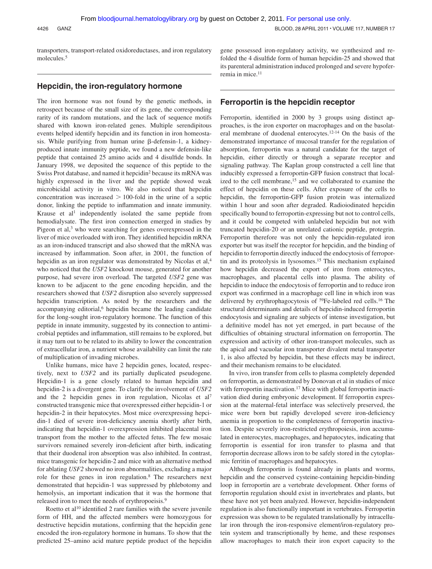transporters, transport-related oxidoreductases, and iron regulatory molecules.5

# **Hepcidin, the iron-regulatory hormone**

The iron hormone was not found by the genetic methods, in retrospect because of the small size of its gene, the corresponding rarity of its random mutations, and the lack of sequence motifs shared with known iron-related genes. Multiple serendipitous events helped identify hepcidin and its function in iron homeostasis. While purifying from human urine  $\beta$ -defensin-1, a kidneyproduced innate immunity peptide, we found a new defensin-like peptide that contained 25 amino acids and 4 disulfide bonds. In January 1998, we deposited the sequence of this peptide to the Swiss Prot database, and named it hepcidin<sup>2</sup> because its mRNA was highly expressed in the liver and the peptide showed weak microbicidal activity in vitro. We also noticed that hepcidin concentration was increased  $> 100$ -fold in the urine of a septic donor, linking the peptide to inflammation and innate immunity. Krause et al<sup>1</sup> independently isolated the same peptide from hemodialysate. The first iron connection emerged in studies by Pigeon et al, $3$  who were searching for genes over expressed in the liver of mice overloaded with iron. They identified hepcidin mRNA as an iron-induced transcript and also showed that the mRNA was increased by inflammation. Soon after, in 2001, the function of hepcidin as an iron regulator was demonstrated by Nicolas et al,<sup>4</sup> who noticed that the *USF2* knockout mouse, generated for another purpose, had severe iron overload. The targeted *USF2* gene was known to be adjacent to the gene encoding hepcidin, and the researchers showed that *USF2* disruption also severely suppressed hepcidin transcription. As noted by the researchers and the accompanying editorial,<sup>6</sup> hepcidin became the leading candidate for the long-sought iron-regulatory hormone. The function of this peptide in innate immunity, suggested by its connection to antimicrobial peptides and inflammation, still remains to be explored, but it may turn out to be related to its ability to lower the concentration of extracellular iron, a nutrient whose availability can limit the rate of multiplication of invading microbes.

Unlike humans, mice have 2 hepcidin genes, located, respectively, next to *USF2* and its partially duplicated pseudogene. Hepcidin-1 is a gene closely related to human hepcidin and hepcidin-2 is a divergent gene. To clarify the involvement of *USF2* and the 2 hepcidin genes in iron regulation, Nicolas et al7 constructed transgenic mice that overexpressed either hepcidin-1 or hepcidin-2 in their hepatocytes. Most mice overexpressing hepcidin-1 died of severe iron-deficiency anemia shortly after birth, indicating that hepcidin-1 overexpression inhibited placental iron transport from the mother to the affected fetus. The few mosaic survivors remained severely iron-deficient after birth, indicating that their duodenal iron absorption was also inhibited. In contrast, mice transgenic for hepcidin-2 and mice with an alternative method for ablating *USF2* showed no iron abnormalities, excluding a major role for these genes in iron regulation.8 The researchers next demonstrated that hepcidin-1 was suppressed by phlebotomy and hemolysis, an important indication that it was the hormone that released iron to meet the needs of erythropoeisis.<sup>9</sup>

Roetto et al<sup>10</sup> identified 2 rare families with the severe juvenile form of HH, and the affected members were homozygous for destructive hepcidin mutations, confirming that the hepcidin gene encoded the iron-regulatory hormone in humans. To show that the predicted 25–amino acid mature peptide product of the hepcidin

gene possessed iron-regulatory activity, we synthesized and refolded the 4 disulfide form of human hepcidin-25 and showed that its parenteral administration induced prolonged and severe hypoferremia in mice.<sup>11</sup>

# **Ferroportin is the hepcidin receptor**

Ferroportin, identified in 2000 by 3 groups using distinct approaches, is the iron exporter on macrophages and on the basolateral membrane of duodenal enterocytes.12-14 On the basis of the demonstrated importance of mucosal transfer for the regulation of absorption, ferroportin was a natural candidate for the target of hepcidin, either directly or through a separate receptor and signaling pathway. The Kaplan group constructed a cell line that inducibly expressed a ferroportin-GFP fusion construct that localized to the cell membrane,<sup>15</sup> and we collaborated to examine the effect of hepcidin on these cells. After exposure of the cells to hepcidin, the ferroportin-GFP fusion protein was internalized within 1 hour and soon after degraded. Radioiodinated hepcidin specifically bound to ferroportin-expressing but not to control cells, and it could be competed with unlabeled hepcidin but not with truncated hepcidin-20 or an unrelated cationic peptide, protegrin. Ferroportin therefore was not only the hepcidin-regulated iron exporter but was itself the receptor for hepcidin, and the binding of hepcidin to ferroportin directly induced the endocytosis of ferroportin and its proteolysis in lysosomes.<sup>15</sup> This mechanism explained how hepcidin decreased the export of iron from enterocytes, macrophages, and placental cells into plasma. The ability of hepcidin to induce the endocytosis of ferroportin and to reduce iron export was confirmed in a macrophage cell line in which iron was delivered by erythrophagocytosis of 59Fe-labeled red cells.16 The structural determinants and details of hepcidin-induced ferroportin endocytosis and signaling are subjects of intense investigation, but a definitive model has not yet emerged, in part because of the difficulties of obtaining structural information on ferroportin. The expression and activity of other iron-transport molecules, such as the apical and vacuolar iron transporter divalent metal transporter 1, is also affected by hepcidin, but these effects may be indirect, and their mechanism remains to be elucidated.

In vivo, iron transfer from cells to plasma completely depended on ferroportin, as demonstrated by Donovan et al in studies of mice with ferroportin inactivation.<sup>17</sup> Mice with global ferroportin inactivation died during embryonic development. If ferroportin expression at the maternal-fetal interface was selectively preserved, the mice were born but rapidly developed severe iron-deficiency anemia in proportion to the completeness of ferroportin inactivation. Despite severely iron-restricted erythropoiesis, iron accumulated in enterocytes, macrophages, and hepatocytes, indicating that ferroportin is essential for iron transfer to plasma and that ferroportin decrease allows iron to be safely stored in the cytoplasmic ferritin of macrophages and hepatocytes.

Although ferroportin is found already in plants and worms, hepcidin and the conserved cysteine-containing hepcidin-binding loop in ferroportin are a vertebrate development. Other forms of ferroportin regulation should exist in invertebrates and plants, but these have not yet been analyzed. However, hepcidin-independent regulation is also functionally important in vertebrates. Ferroportin expression was shown to be regulated translationally by intracellular iron through the iron-responsive element/iron-regulatory protein system and transcriptionally by heme, and these responses allow macrophages to match their iron export capacity to the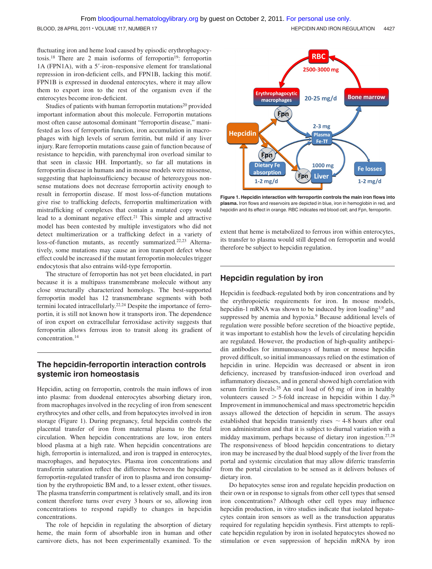fluctuating iron and heme load caused by episodic erythrophagocytosis.<sup>18</sup> There are 2 main isoforms of ferroportin<sup>19</sup>: ferroportin 1A (FPN1A), with a 5'-iron–responsive element for translational repression in iron-deficient cells, and FPN1B, lacking this motif. FPN1B is expressed in duodenal enterocytes, where it may allow them to export iron to the rest of the organism even if the enterocytes become iron-deficient.

Studies of patients with human ferroportin mutations<sup>20</sup> provided important information about this molecule. Ferroportin mutations most often cause autosomal dominant "ferroportin disease," manifested as loss of ferroportin function, iron accumulation in macrophages with high levels of serum ferritin, but mild if any liver injury. Rare ferroportin mutations cause gain of function because of resistance to hepcidin, with parenchymal iron overload similar to that seen in classic HH. Importantly, so far all mutations in ferroportin disease in humans and in mouse models were missense, suggesting that haploinsufficiency because of heterozygous nonsense mutations does not decrease ferroportin activity enough to result in ferroportin disease. If most loss-of-function mutations give rise to trafficking defects, ferroportin multimerization with mistrafficking of complexes that contain a mutated copy would lead to a dominant negative effect.<sup>21</sup> This simple and attractive model has been contested by multiple investigators who did not detect multimerization or a trafficking defect in a variety of loss-of-function mutants, as recently summarized.<sup>22,23</sup> Alternatively, some mutations may cause an iron transport defect whose effect could be increased if the mutant ferroportin molecules trigger endocytosis that also entrains wild-type ferroportin.

The structure of ferroportin has not yet been elucidated, in part because it is a multipass transmembrane molecule without any close structurally characterized homologs. The best-supported ferroportin model has 12 transmembrane segments with both termini located intracellularly.22,24 Despite the importance of ferroportin, it is still not known how it transports iron. The dependence of iron export on extracellular ferroxidase activity suggests that ferroportin allows ferrous iron to transit along its gradient of concentration.14

# **The hepcidin-ferroportin interaction controls systemic iron homeostasis**

Hepcidin, acting on ferroportin, controls the main inflows of iron into plasma: from duodenal enterocytes absorbing dietary iron, from macrophages involved in the recycling of iron from senescent erythrocytes and other cells, and from hepatocytes involved in iron storage (Figure 1). During pregnancy, fetal hepcidin controls the placental transfer of iron from maternal plasma to the fetal circulation. When hepcidin concentrations are low, iron enters blood plasma at a high rate. When hepcidin concentrations are high, ferroportin is internalized, and iron is trapped in enterocytes, macrophages, and hepatocytes. Plasma iron concentrations and transferrin saturation reflect the difference between the hepcidin/ ferroportin-regulated transfer of iron to plasma and iron consumption by the erythropoietic BM and, to a lesser extent, other tissues. The plasma transferrin compartment is relatively small, and its iron content therefore turns over every 3 hours or so, allowing iron concentrations to respond rapidly to changes in hepcidin concentrations.

The role of hepcidin in regulating the absorption of dietary heme, the main form of absorbable iron in human and other carnivore diets, has not been experimentally examined. To the



**Figure 1. Hepcidin interaction with ferroportin controls the main iron flows into plasma.** Iron flows and reservoirs are depicted in blue, iron in hemoglobin in red, and hepcidin and its effect in orange. RBC indicates red blood cell; and Fpn, ferroportin.

extent that heme is metabolized to ferrous iron within enterocytes, its transfer to plasma would still depend on ferroportin and would therefore be subject to hepcidin regulation.

# **Hepcidin regulation by iron**

Hepcidin is feedback-regulated both by iron concentrations and by the erythropoietic requirements for iron. In mouse models, hepcidin-1 mRNA was shown to be induced by iron loading<sup>3,9</sup> and suppressed by anemia and hypoxia.<sup>9</sup> Because additional levels of regulation were possible before secretion of the bioactive peptide, it was important to establish how the levels of circulating hepcidin are regulated. However, the production of high-quality antihepcidin antibodies for immunoassays of human or mouse hepcidin proved difficult, so initial immunoassays relied on the estimation of hepcidin in urine. Hepcidin was decreased or absent in iron deficiency, increased by transfusion-induced iron overload and inflammatory diseases, and in general showed high correlation with serum ferritin levels.<sup>25</sup> An oral load of 65 mg of iron in healthy volunteers caused  $>$  5-fold increase in hepcidin within 1 day.<sup>26</sup> Improvement in immunochemical and mass spectrometric hepcidin assays allowed the detection of hepcidin in serum. The assays established that hepcidin transiently rises  $\sim$  4-8 hours after oral iron administration and that it is subject to diurnal variation with a midday maximum, perhaps because of dietary iron ingestion.27,28 The responsiveness of blood hepcidin concentrations to dietary iron may be increased by the dual blood supply of the liver from the portal and systemic circulation that may allow diferric transferrin from the portal circulation to be sensed as it delivers boluses of dietary iron.

Do hepatocytes sense iron and regulate hepcidin production on their own or in response to signals from other cell types that sensed iron concentrations? Although other cell types may influence hepcidin production, in vitro studies indicate that isolated hepatocytes contain iron sensors as well as the transduction apparatus required for regulating hepcidin synthesis. First attempts to replicate hepcidin regulation by iron in isolated hepatocytes showed no stimulation or even suppression of hepcidin mRNA by iron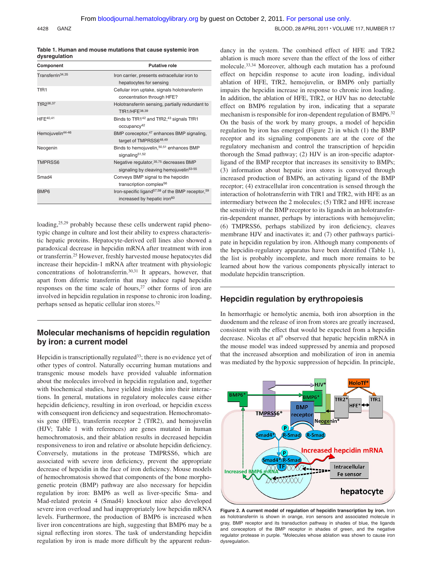4428 GANZ BLOOD, 28 APRIL 2011 VOLUME 117, NUMBER 17

**Table 1. Human and mouse mutations that cause systemic iron dysregulation**

| Component                    | Putative role                                                                                                       |  |
|------------------------------|---------------------------------------------------------------------------------------------------------------------|--|
| Transferrin <sup>34,35</sup> | Iron carrier, presents extracellular iron to<br>hepatocytes for sensing                                             |  |
| TfR <sub>1</sub>             | Cellular iron uptake, signals holotransferrin<br>concentration through HFE?                                         |  |
| TfR236,37                    | Holotransferrin sensing, partially redundant to<br>TfR1/HFE38,39                                                    |  |
| HFE <sup>40,41</sup>         | Binds to TfR1 <sup>42</sup> and TfR2, <sup>43</sup> signals TfR1<br>occupancy <sup>42</sup>                         |  |
| Hemojuvelin44-46             | BMP coreceptor, <sup>47</sup> enhances BMP signaling,<br>target of TMPRSS648,49                                     |  |
| Neogenin                     | Binds to hemojuvelin, 50,51 enhances BMP<br>signaling <sup>51,52</sup>                                              |  |
| TMPRSS6                      | Negative regulator, 35,75 decreases BMP<br>signaling by cleaving hemojuvelin <sup>53-55</sup>                       |  |
| Smad4                        | Conveys BMP signal to the hepcidin<br>transcription complex <sup>56</sup>                                           |  |
| BMP <sub>6</sub>             | Iron-specific ligand <sup>57,58</sup> of the BMP receptor, <sup>59</sup><br>increased by hepatic iron <sup>60</sup> |  |

loading,<sup>25,29</sup> probably because these cells underwent rapid phenotypic change in culture and lost their ability to express characteristic hepatic proteins. Hepatocyte-derived cell lines also showed a paradoxical decrease in hepcidin mRNA after treatment with iron or transferrin.25 However, freshly harvested mouse hepatocytes did increase their hepcidin-1 mRNA after treatment with physiologic concentrations of holotransferrin.30,31 It appears, however, that apart from diferric transferrin that may induce rapid hepcidin responses on the time scale of hours,27 other forms of iron are involved in hepcidin regulation in response to chronic iron loading, perhaps sensed as hepatic cellular iron stores.32

# **Molecular mechanisms of hepcidin regulation by iron: a current model**

Hepcidin is transcriptionally regulated<sup>33</sup>; there is no evidence yet of other types of control. Naturally occurring human mutations and transgenic mouse models have provided valuable information about the molecules involved in hepcidin regulation and, together with biochemical studies, have yielded insights into their interactions. In general, mutations in regulatory molecules cause either hepcidin deficiency, resulting in iron overload, or hepcidin excess with consequent iron deficiency and sequestration. Hemochromatosis gene (HFE), transferrin receptor 2 (TfR2), and hemojuvelin (HJV; Table 1 with references) are genes mutated in human hemochromatosis, and their ablation results in decreased hepcidin responsiveness to iron and relative or absolute hepcidin deficiency. Conversely, mutations in the protease TMPRSS6, which are associated with severe iron deficiency, prevent the appropriate decrease of hepcidin in the face of iron deficiency. Mouse models of hemochromatosis showed that components of the bone morphogenetic protein (BMP) pathway are also necessary for hepcidin regulation by iron: BMP6 as well as liver-specific Sma- and Mad-related protein 4 (Smad4) knockout mice also developed severe iron overload and had inappropriately low hepcidin mRNA levels. Furthermore, the production of BMP6 is increased when liver iron concentrations are high, suggesting that BMP6 may be a signal reflecting iron stores. The task of understanding hepcidin regulation by iron is made more difficult by the apparent redundancy in the system. The combined effect of HFE and TfR2 ablation is much more severe than the effect of the loss of either molecule.33,34 Moreover, although each mutation has a profound effect on hepcidin response to acute iron loading, individual ablation of HFE, TfR2, hemojuvelin, or BMP6 only partially impairs the hepcidin increase in response to chronic iron loading. In addition, the ablation of HFE, TfR2, or HJV has no detectable effect on BMP6 regulation by iron, indicating that a separate mechanism is responsible for iron-dependent regulation of BMP6.32 On the basis of the work by many groups, a model of hepcidin regulation by iron has emerged (Figure 2) in which (1) the BMP receptor and its signaling components are at the core of the regulatory mechanism and control the transcription of hepcidin thorough the Smad pathway; (2) HJV is an iron-specific adaptorligand of the BMP receptor that increases its sensitivity to BMPs; (3) information about hepatic iron stores is conveyed through increased production of BMP6, an activating ligand of the BMP receptor; (4) extracellular iron concentration is sensed through the interaction of holotransferrin with TfR1 and TfR2, with HFE as an intermediary between the 2 molecules; (5) TfR2 and HFE increase the sensitivity of the BMP receptor to its ligands in an holotransferrin-dependent manner, perhaps by interactions with hemojuvelin; (6) TMPRSS6, perhaps stabilized by iron deficiency, cleaves membrane HJV and inactivates it; and (7) other pathways participate in hepcidin regulation by iron. Although many components of the hepcidin-regulatory apparatus have been identified (Table 1), the list is probably incomplete, and much more remains to be learned about how the various components physically interact to modulate hepcidin transcription.

# **Hepcidin regulation by erythropoiesis**

In hemorrhagic or hemolytic anemia, both iron absorption in the duodenum and the release of iron from stores are greatly increased, consistent with the effect that would be expected from a hepcidin decrease. Nicolas et al<sup>9</sup> observed that hepatic hepcidin mRNA in the mouse model was indeed suppressed by anemia and proposed that the increased absorption and mobilization of iron in anemia was mediated by the hypoxic suppression of hepcidin. In principle,



**Figure 2. A current model of regulation of hepcidin transcription by iron.** Iron as holotransferrin is shown in orange, iron sensors and associated molecule in gray, BMP receptor and its transduction pathway in shades of blue, the ligands and coreceptors of the BMP receptor in shades of green, and the negative regulator protease in purple. \*Molecules whose ablation was shown to cause iron dysregulation.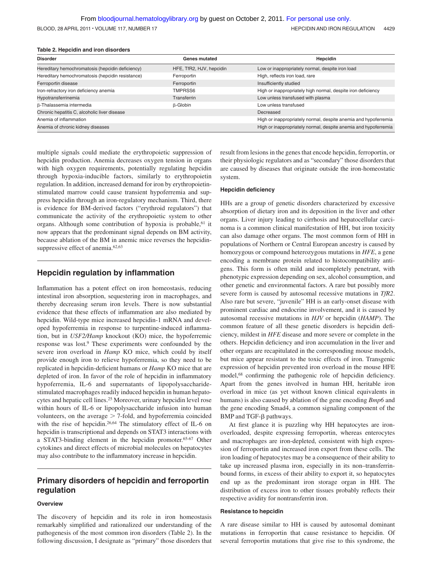BLOOD, 28 APRIL 2011 · VOLUME 117, NUMBER 17 **HEPCIDIN AND IRON REGULATION** 4429

#### **Table 2. Hepcidin and iron disorders**

| <b>Disorder</b>                                  | <b>Genes mutated</b>     | Hepcidin                                                        |
|--------------------------------------------------|--------------------------|-----------------------------------------------------------------|
| Hereditary hemochromatosis (hepcidin deficiency) | HFE, TfR2, HJV, hepcidin | Low or inappropriately normal, despite iron load                |
| Hereditary hemochromatosis (hepcidin resistance) | Ferroportin              | High, reflects iron load, rare                                  |
| Ferroportin disease                              | Ferroportin              | Insufficiently studied                                          |
| Iron-refractory iron deficiency anemia           | TMPRSS6                  | High or inappropriately high normal, despite iron deficiency    |
| Hypotransferrinemia                              | Transferrin              | Low unless transfused with plasma                               |
| β-Thalassemia intermedia                         | β-Globin                 | Low unless transfused                                           |
| Chronic hepatitis C, alcoholic liver disease     |                          | Decreased                                                       |
| Anemia of inflammation                           |                          | High or inappropriately normal, despite anemia and hypoferremia |
| Anemia of chronic kidney diseases                |                          | High or inappropriately normal, despite anemia and hypoferremia |

multiple signals could mediate the erythropoietic suppression of hepcidin production. Anemia decreases oxygen tension in organs with high oxygen requirements, potentially regulating hepcidin through hypoxia-inducible factors, similarly to erythropoietin regulation. In addition, increased demand for iron by erythropoietinstimulated marrow could cause transient hypoferremia and suppress hepcidin through an iron-regulatory mechanism. Third, there is evidence for BM-derived factors ("erythroid regulators") that communicate the activity of the erythropoietic system to other organs. Although some contribution of hypoxia is probable,<sup>61</sup> it now appears that the predominant signal depends on BM activity, because ablation of the BM in anemic mice reverses the hepcidinsuppressive effect of anemia.<sup>62,63</sup>

## **Hepcidin regulation by inflammation**

Inflammation has a potent effect on iron homeostasis, reducing intestinal iron absorption, sequestering iron in macrophages, and thereby decreasing serum iron levels. There is now substantial evidence that these effects of inflammation are also mediated by hepcidin. Wild-type mice increased hepcidin-1 mRNA and developed hypoferremia in response to turpentine-induced inflammation, but in *USF2/Hamp* knockout (KO) mice, the hypoferremic response was lost.<sup>9</sup> These experiments were confounded by the severe iron overload in *Hamp* KO mice, which could by itself provide enough iron to relieve hypoferremia, so they need to be replicated in hepcidin-deficient humans or *Hamp* KO mice that are depleted of iron. In favor of the role of hepcidin in inflammatory hypoferremia, IL-6 and supernatants of lipopolysaccharidestimulated macrophages readily induced hepcidin in human hepatocytes and hepatic cell lines.25 Moreover, urinary hepcidin level rose within hours of IL-6 or lipopolysaccharide infusion into human volunteers, on the average  $>$  7-fold, and hypoferremia coincided with the rise of hepcidin.<sup>26,64</sup> The stimulatory effect of IL-6 on hepcidin is transcriptional and depends on STAT3 interactions with a STAT3-binding element in the hepcidin promoter.<sup>65-67</sup> Other cytokines and direct effects of microbial molecules on hepatocytes may also contribute to the inflammatory increase in hepcidin.

# **Primary disorders of hepcidin and ferroportin regulation**

#### **Overview**

The discovery of hepcidin and its role in iron homeostasis remarkably simplified and rationalized our understanding of the pathogenesis of the most common iron disorders (Table 2). In the following discussion, I designate as "primary" those disorders that result from lesions in the genes that encode hepcidin, ferroportin, or their physiologic regulators and as "secondary" those disorders that are caused by diseases that originate outside the iron-homeostatic system.

### **Hepcidin deficiency**

HHs are a group of genetic disorders characterized by excessive absorption of dietary iron and its deposition in the liver and other organs. Liver injury leading to cirrhosis and hepatocellular carcinoma is a common clinical manifestation of HH, but iron toxicity can also damage other organs. The most common form of HH in populations of Northern or Central European ancestry is caused by homozygous or compound heterozygous mutations in *HFE*, a gene encoding a membrane protein related to histocompatibility antigens. This form is often mild and incompletely penetrant, with phenotypic expression depending on sex, alcohol consumption, and other genetic and environmental factors. A rare but possibly more severe form is caused by autosomal recessive mutations in *TfR2*. Also rare but severe, "juvenile" HH is an early-onset disease with prominent cardiac and endocrine involvement, and it is caused by autosomal recessive mutations in *HJV* or hepcidin (*HAMP*). The common feature of all these genetic disorders is hepcidin deficiency, mildest in *HFE* disease and more severe or complete in the others. Hepcidin deficiency and iron accumulation in the liver and other organs are recapitulated in the corresponding mouse models, but mice appear resistant to the toxic effects of iron. Transgenic expression of hepcidin prevented iron overload in the mouse HFE model,<sup>68</sup> confirming the pathogenic role of hepcidin deficiency. Apart from the genes involved in human HH, heritable iron overload in mice (as yet without known clinical equivalents in humans) is also caused by ablation of the gene encoding *Bmp6* and the gene encoding Smad4, a common signaling component of the BMP and TGF- $\beta$  pathways.

At first glance it is puzzling why HH hepatocytes are ironoverloaded, despite expressing ferroportin, whereas enterocytes and macrophages are iron-depleted, consistent with high expression of ferroportin and increased iron export from these cells. The iron loading of hepatocytes may be a consequence of their ability to take up increased plasma iron, especially in its non–transferrinbound forms, in excess of their ability to export it, so hepatocytes end up as the predominant iron storage organ in HH. The distribution of excess iron to other tissues probably reflects their respective avidity for nontransferrin iron.

#### **Resistance to hepcidin**

A rare disease similar to HH is caused by autosomal dominant mutations in ferroportin that cause resistance to hepcidin. Of several ferroportin mutations that give rise to this syndrome, the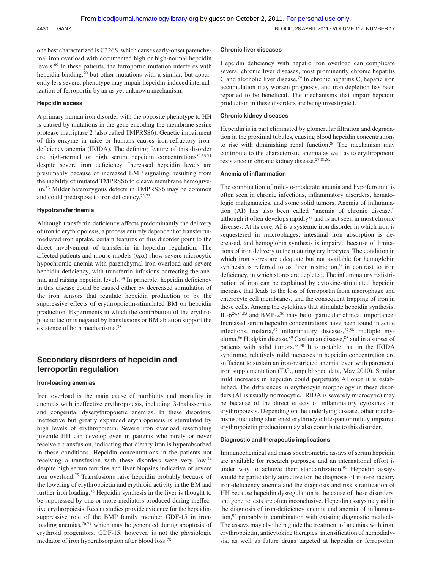one best characterized is C326S, which causes early-onset parenchymal iron overload with documented high or high-normal hepcidin levels.69 In these patients, the ferroportin mutation interferes with hepcidin binding,<sup>70</sup> but other mutations with a similar, but apparently less severe, phenotype may impair hepcidin-induced internalization of ferroportin by an as yet unknown mechanism.

#### **Hepcidin excess**

A primary human iron disorder with the opposite phenotype to HH is caused by mutations in the gene encoding the membrane serine protease matriptase 2 (also called TMPRSS6). Genetic impairment of this enzyme in mice or humans causes iron-refractory irondeficiency anemia (IRIDA). The defining feature of this disorder are high-normal or high serum hepcidin concentrations<sup>54,55,71</sup> despite severe iron deficiency. Increased hepcidin levels are presumably because of increased BMP signaling, resulting from the inability of mutated TMPRSS6 to cleave membrane hemojuvelin.53 Milder heterozygous defects in TMPRSS6 may be common and could predispose to iron deficiency.72,73

### **Hypotransferrinemia**

Although transferrin deficiency affects predominantly the delivery of iron to erythropoiesis, a process entirely dependent of transferrinmediated iron uptake, certain features of this disorder point to the direct involvement of transferrin in hepcidin regulation. The affected patients and mouse models (*hpx*) show severe microcytic hypochromic anemia with parenchymal iron overload and severe hepcidin deficiency, with transferrin infusions correcting the anemia and raising hepcidin levels.34 In principle, hepcidin deficiency in this disease could be caused either by decreased stimulation of the iron sensors that regulate hepcidin production or by the suppressive effects of erythropoietin-stimulated BM on hepcidin production. Experiments in which the contribution of the erythropoietic factor is negated by transfusions or BM ablation support the existence of both mechanisms.35

# **Secondary disorders of hepcidin and ferroportin regulation**

#### **Iron-loading anemias**

Iron overload is the main cause of morbidity and mortality in anemias with ineffective erythropoiesis, including  $\beta$ -thalassemias and congenital dyserythropoietic anemias. In these disorders, ineffective but greatly expanded erythropoiesis is stimulated by high levels of erythropoietin. Severe iron overload resembling juvenile HH can develop even in patients who rarely or never receive a transfusion, indicating that dietary iron is hyperabsorbed in these conditions. Hepcidin concentrations in the patients not receiving a transfusion with these disorders were very low,<sup>74</sup> despite high serum ferritins and liver biopsies indicative of severe iron overload.75 Transfusions raise hepcidin probably because of the lowering of erythropoietin and erythroid activity in the BM and further iron loading.75 Hepcidin synthesis in the liver is thought to be suppressed by one or more mediators produced during ineffective erythropoiesis. Recent studies provide evidence for the hepcidinsuppressive role of the BMP family member GDF-15 in ironloading anemias,<sup>76,77</sup> which may be generated during apoptosis of erythroid progenitors. GDF-15, however, is not the physiologic mediator of iron hyperabsorption after blood loss.78

#### **Chronic liver diseases**

Hepcidin deficiency with hepatic iron overload can complicate several chronic liver diseases, most prominently chronic hepatitis C and alcoholic liver disease.79 In chronic hepatitis C, hepatic iron accumulation may worsen prognosis, and iron depletion has been reported to be beneficial. The mechanisms that impair hepcidin production in these disorders are being investigated.

#### **Chronic kidney diseases**

Hepcidin is in part eliminated by glomerular filtration and degradation in the proximal tubules, causing blood hepcidin concentrations to rise with diminishing renal function.<sup>80</sup> The mechanism may contribute to the characteristic anemia as well as to erythropoietin resistance in chronic kidney disease.<sup>27,81,82</sup>

#### **Anemia of inflammation**

The combination of mild-to-moderate anemia and hypoferremia is often seen in chronic infections, inflammatory disorders, hematologic malignancies, and some solid tumors. Anemia of inflammation (AI) has also been called "anemia of chronic disease," although it often develops rapidly<sup>83</sup> and is not seen in most chronic diseases. At its core, AI is a systemic iron disorder in which iron is sequestered in macrophages, intestinal iron absorption is decreased, and hemoglobin synthesis is impaired because of limitations of iron delivery to the maturing erythrocytes. The condition in which iron stores are adequate but not available for hemoglobin synthesis is referred to as "iron restriction," in contrast to iron deficiency, in which stores are depleted. The inflammatory redistribution of iron can be explained by cytokine-stimulated hepcidin increase that leads to the loss of ferroportin from macrophage and enterocyte cell membranes, and the consequent trapping of iron in these cells. Among the cytokines that stimulate hepcidin synthesis, IL-626,84,85 and BMP-286 may be of particular clinical importance. Increased serum hepcidin concentrations have been found in acute infections, malaria, 87 inflammatory diseases, 27,88 multiple myeloma, <sup>86</sup> Hodgkin disease, <sup>89</sup> Castleman disease, <sup>85</sup> and in a subset of patients with solid tumors.88,90 It is notable that in the IRIDA syndrome, relatively mild increases in hepcidin concentration are sufficient to sustain an iron-restricted anemia, even with parenteral iron supplementation (T.G., unpublished data, May 2010). Similar mild increases in hepcidin could perpetuate AI once it is established. The differences in erythrocyte morphology in these disorders (AI is usually normocytic, IRIDA is severely microcytic) may be because of the direct effects of inflammatory cytokines on erythropoiesis. Depending on the underlying disease, other mechanisms, including shortened erythrocyte lifespan or mildly impaired erythropoietin production may also contribute to this disorder.

#### **Diagnostic and therapeutic implications**

Immunochemical and mass spectrometric assays of serum hepcidin are available for research purposes, and an international effort is under way to achieve their standardization.<sup>91</sup> Hepcidin assays would be particularly attractive for the diagnosis of iron-refractory iron-deficiency anemia and the diagnosis and risk stratification of HH because hepcidin dysregulation is the cause of these disorders, and genetic tests are often inconclusive. Hepcidin assays may aid in the diagnosis of iron-deficiency anemia and anemia of inflammation,<sup>92</sup> probably in combination with existing diagnostic methods. The assays may also help guide the treatment of anemias with iron, erythropoietin, anticytokine therapies, intensification of hemodialysis, as well as future drugs targeted at hepcidin or ferroportin.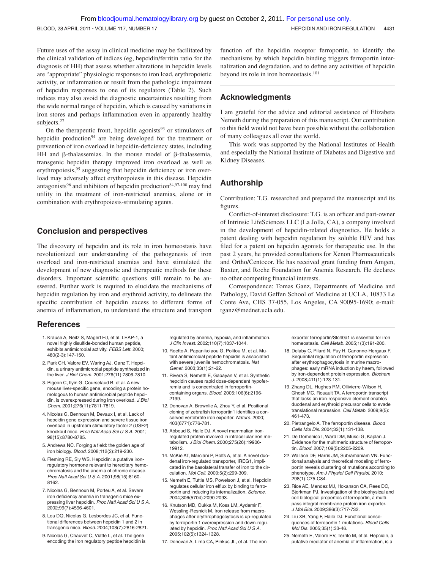BLOOD, 28 APRIL 2011 • VOLUME 117, NUMBER 17 **HEPCIDIN AND IRON REGULATION** 4431

Future uses of the assay in clinical medicine may be facilitated by the clinical validation of indices (eg, hepcidin/ferritin ratio for the diagnosis of HH) that assess whether alterations in hepcidin levels are "appropriate" physiologic responses to iron load, erythropoietic activity, or inflammation or result from the pathologic impairment of hepcidin responses to one of its regulators (Table 2). Such indices may also avoid the diagnostic uncertainties resulting from the wide normal range of hepcidin, which is caused by variations in iron stores and perhaps inflammation even in apparently healthy subjects.<sup>27</sup>

On the therapeutic front, hepcidin agonists<sup>93</sup> or stimulators of hepcidin production<sup>94</sup> are being developed for the treatment or prevention of iron overload in hepcidin-deficiency states, including HH and  $\beta$ -thalassemias. In the mouse model of  $\beta$ -thalassemia, transgenic hepcidin therapy improved iron overload as well as erythropoiesis,<sup>95</sup> suggesting that hepcidin deficiency or iron overload may adversely affect erythropoiesis in this disease. Hepcidin antagonists<sup>96</sup> and inhibitors of hepcidin production<sup>84,97-100</sup> may find utility in the treatment of iron-restricted anemias, alone or in combination with erythropoiesis-stimulating agents.

# **Conclusion and perspectives**

The discovery of hepcidin and its role in iron homeostasis have revolutionized our understanding of the pathogenesis of iron overload and iron-restricted anemias and have stimulated the development of new diagnostic and therapeutic methods for these disorders. Important scientific questions still remain to be answered. Further work is required to elucidate the mechanisms of hepcidin regulation by iron and erythroid activity, to delineate the specific contribution of hepcidin excess to different forms of anemia of inflammation, to understand the structure and transport function of the hepcidin receptor ferroportin, to identify the mechanisms by which hepcidin binding triggers ferroportin internalization and degradation, and to define any activities of hepcidin beyond its role in iron homeostasis.101

### **Acknowledgments**

I am grateful for the advice and editorial assistance of Elizabeta Nemeth during the preparation of this manuscript. Our contribution to this field would not have been possible without the collaboration of many colleagues all over the world.

This work was supported by the National Institutes of Health and especially the National Institute of Diabetes and Digestive and Kidney Diseases.

# **Authorship**

Contribution: T.G. researched and prepared the manuscript and its figures.

Conflict-of-interest disclosure: T.G. is an officer and part-owner of Intrinsic LifeSciences LLC (La Jolla, CA), a company involved in the development of hepcidin-related diagnostics. He holds a patent dealing with hepcidin regulation by soluble HJV and has filed for a patent on hepcidin agonists for therapeutic use. In the past 2 years, he provided consultations for Xenon Pharmaceuticals and Ortho/Centocor. He has received grant funding from Amgen, Baxter, and Roche Foundation for Anemia Research. He declares no other competing financial interests.

Correspondence: Tomas Ganz, Departments of Medicine and Pathology, David Geffen School of Medicine at UCLA, 10833 Le Conte Ave, CHS 37-055, Los Angeles, CA 90095-1690; e-mail: tganz@mednet.ucla.edu.

### **References**

- 1. Krause A, Neitz S, Magert HJ, et al. LEAP-1, a novel highly disulfide-bonded human peptide, exhibits antimicrobial activity. *FEBS Lett.* 2000; 480(2-3):147-150.
- 2. Park CH, Valore EV, Waring AJ, Ganz T. Hepcidin, a urinary antimicrobial peptide synthesized in the liver. *J Biol Chem.* 2001;276(11):7806-7810.
- 3. Pigeon C, Ilyin G, Courselaud B, et al. A new mouse liver-specific gene, encoding a protein homologous to human antimicrobial peptide hepcidin, is overexpressed during iron overload. *J Biol Chem.* 2001;276(11):7811-7819.
- 4. Nicolas G, Bennoun M, Devaux I, et al. Lack of hepcidin gene expression and severe tissue iron overload in upstream stimulatory factor 2 (USF2) knockout mice. *Proc Natl Acad Sci U S A*. 2001; 98(15):8780-8785.
- 5. Andrews NC. Forging a field: the golden age of iron biology. *Blood*. 2008;112(2):219-230.
- 6. Fleming RE, Sly WS. Hepcidin: a putative ironregulatory hormone relevant to hereditary hemochromatosis and the anemia of chronic disease. *Proc Natl Acad Sci U S A.* 2001;98(15):8160- 8162.
- 7. Nicolas G, Bennoun M, Porteu A, et al. Severe iron deficiency anemia in transgenic mice expressing liver hepcidin. *Proc Natl Acad Sci U S A.* 2002;99(7):4596-4601.
- 8. Lou DQ, Nicolas G, Lesbordes JC, et al. Functional differences between hepcidin 1 and 2 in transgenic mice. *Blood*. 2004;103(7):2816-2821.
- 9. Nicolas G, Chauvet C, Viatte L, et al. The gene encoding the iron regulatory peptide hepcidin is

regulated by anemia, hypoxia, and inflammation. *J Clin Invest.* 2002;110(7):1037-1044.

- 10. Roetto A, Papanikolaou G, Politou M, et al. Mutant antimicrobial peptide hepcidin is associated with severe juvenile hemochromatosis. *Nat Genet.* 2003;33(1):21-22.
- 11. Rivera S, Nemeth E, Gabayan V, et al. Synthetic hepcidin causes rapid dose-dependent hypoferremia and is concentrated in ferroportincontaining organs. *Blood*. 2005;106(6):2196- 2199.
- 12. Donovan A, Brownlie A, Zhou Y, et al. Positional cloning of zebrafish ferroportin1 identifies a conserved vertebrate iron exporter. *Nature*. 2000; 403(6771):776-781.
- 13. Abboud S, Haile DJ. A novel mammalian ironregulated protein involved in intracellular iron metabolism. *J Biol Chem.* 2000;275(26):19906- 19912.
- 14. McKie AT, Marciani P, Rolfs A, et al. A novel duodenal iron-regulated transporter, IREG1, implicated in the basolateral transfer of iron to the circulation. *Mol Cell.* 2000;5(2):299-309.
- 15. Nemeth E, Tuttle MS, Powelson J, et al. Hepcidin regulates cellular iron efflux by binding to ferroportin and inducing its internalization. *Science*. 2004;306(5704):2090-2093.
- 16. Knutson MD, Oukka M, Koss LM, Aydemir F, Wessling-Resnick M. Iron release from macrophages after erythrophagocytosis is up-regulated by ferroportin 1 overexpression and down-regulated by hepcidin. *Proc Natl Acad Sci U S A.* 2005;102(5):1324-1328.
- 17. Donovan A, Lima CA, Pinkus JL, et al. The iron

exporter ferroportin/Slc40a1 is essential for iron homeostasis. *Cell Metab.* 2005;1(3):191-200.

- 18. Delaby C, Pilard N, Puy H, Canonne-Hergaux F. Sequential regulation of ferroportin expression after erythrophagocytosis in murine macrophages: early mRNA induction by haem, followed by iron-dependent protein expression. *Biochem J.* 2008;411(1):123-131.
- 19. Zhang DL, Hughes RM, Ollivierre-Wilson H, Ghosh MC, Rouault TA. A ferroportin transcript that lacks an iron-responsive element enables duodenal and erythroid precursor cells to evade translational repression. *Cell Metab*. 2009;9(5): 461-473.
- 20. Pietrangelo A. The ferroportin disease. *Blood Cells Mol Dis*. 2004;32(1):131-138.
- 21. De Domenico I, Ward DM, Musci G, Kaplan J. Evidence for the multimeric structure of ferroportin. *Blood*. 2007;109(5):2205-2209.
- 22. Wallace DF, Harris JM, Subramaniam VN. Functional analysis and theoretical modeling of ferroportin reveals clustering of mutations according to phenotype. *Am J Physiol Cell Physiol*. 2010; 298(1):C75-C84.
- 23. Rice AE, Mendez MJ, Hokanson CA, Rees DC, Bjorkman PJ. Investigation of the biophysical and cell biological properties of ferroportin, a multipass integral membrane protein iron exporter. *J Mol Biol.* 2009;386(3):717-732.
- 24. Liu XB, Yang F, Haile DJ. Functional consequences of ferroportin 1 mutations. *Blood Cells Mol Dis.* 2005;35(1):33-46.
- 25. Nemeth E, Valore EV, Territo M, et al. Hencidin, a putative mediator of anemia of inflammation, is a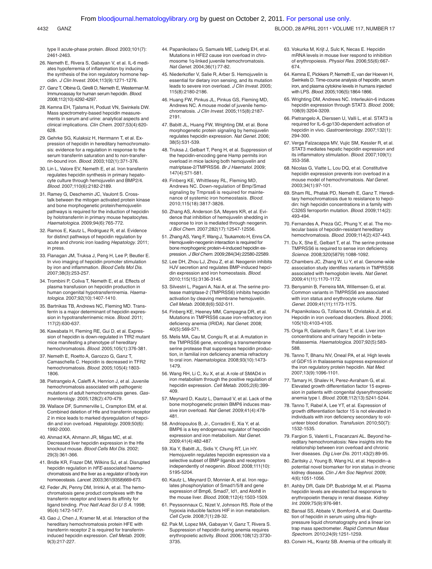4432 GANZ BLOOD, 28 APRIL 2011 VOLUME 117, NUMBER 17

type II acute-phase protein. *Blood*. 2003;101(7): 2461-2463.

- 26. Nemeth E, Rivera S, Gabayan V, et al. IL-6 mediates hypoferremia of inflammation by inducing the synthesis of the iron regulatory hormone hepcidin. *J Clin Invest.* 2004;113(9):1271-1276.
- 27. Ganz T, Olbina G, Girelli D, Nemeth E, Westerman M. Immunoassay for human serum hepcidin. *Blood*. 2008;112(10):4292-4297.
- 28. Kemna EH, Tjalsma H, Podust VN, Swinkels DW. Mass spectrometry-based hepcidin measurements in serum and urine: analytical aspects and clinical implications. *Clin Chem.* 2007;53(4):620- 628.
- 29. Gehrke SG, Kulaksiz H, Herrmann T, et al. Expression of hepcidin in hereditary hemochromatosis: evidence for a regulation in response to the serum transferrin saturation and to non-transferrin-bound iron. *Blood*. 2003;102(1):371-376.
- 30. Lin L, Valore EV, Nemeth E, et al. Iron transferrin regulates hepcidin synthesis in primary hepatocyte culture through hemojuvelin and BMP2/4. *Blood*. 2007;110(6):2182-2189.
- 31. Ramey G, Deschemin JC, Vaulont S. Crosstalk between the mitogen activated protein kinase and bone morphogenetic protein/hemojuvelin pathways is required for the induction of hepcidin by holotransferrin in primary mouse hepatocytes. *Haematologica*. 2009;94(6):765-772.
- 32. Ramos E, Kautz L, Rodriguez R, et al. Evidence for distinct pathways of hepcidin regulation by acute and chronic iron loading *Hepatology*. 2011; in press.
- 33. Flanagan JM, Truksa J, Peng H, Lee P, Beutler E. In vivo imaging of hepcidin promoter stimulation by iron and inflammation. *Blood Cells Mol Dis.* 2007;38(3):253-257.
- 34. Trombini P, Coliva T, Nemeth E, et al. Effects of plasma transfusion on hepcidin production in human congenital hypotransferrinemia. *Haematologica*. 2007;92(10):1407-1410.
- 35. Bartnikas TB, Andrews NC, Fleming MD. Transferrin is a major determinant of hepcidin expression in hypotransferrinemic mice. *Blood*. 2011; 117(2):630-637.
- 36. Kawabata H, Fleming RE, Gui D, et al. Expression of hepcidin is down-regulated in TfR2 mutant mice manifesting a phenotype of hereditary hemochromatosis. *Blood*. 2005;105(1):376-381.
- 37. Nemeth E, Roetto A, Garozzo G, Ganz T, Camaschella C. Hepcidin is decreased in TFR2 hemochromatosis. *Blood*. 2005;105(4):1803- 1806.
- 38. Pietrangelo A, Caleffi A, Henrion J, et al. Juvenile hemochromatosis associated with pathogenic mutations of adult hemochromatosis genes. *Gastroenterology*. 2005;128(2):470-479.
- 39. Wallace DF, Summerville L, Crampton EM, et al. Combined deletion of Hfe and transferrin receptor 2 in mice leads to marked dysregulation of hepcidin and iron overload. *Hepatology*. 2009;50(6): 1992-2000.
- 40. Ahmad KA, Ahmann JR, Migas MC, et al. Decreased liver hepcidin expression in the Hfe knockout mouse. *Blood Cells Mol Dis.* 2002; 29(3):361-366.
- 41. Bridle KR, Frazer DM, Wilkins SJ, et al. Disrupted hepcidin regulation in *HFE*-associated haemochromatosis and the liver as a regulator of body iron homoeostasis. *Lancet.* 2003;361(9358)669-673.
- 42. Feder JN, Penny DM, Irrinki A, et al. The hemochromatosis gene product complexes with the transferrin receptor and lowers its affinity for ligand binding. *Proc Natl Acad Sci U S A.* 1998; 95(4):1472-1477.
- 43. Gao J, Chen J, Kramer M, et al. Interaction of the hereditary hemochromatosis protein HFE with transferrin receptor 2 is required for transferrininduced hepcidin expression. *Cell Metab*. 2009; 9(3):217-227.
- 44. Papanikolaou G, Samuels ME, Ludwig EH, et al. Mutations in HFE2 cause iron overload in chromosome 1q-linked juvenile hemochromatosis. *Nat Genet.* 2004;36(1):77-82.
- 45. Niederkofler V, Salie R, Arber S. Hemojuvelin is essential for dietary iron sensing, and its mutation leads to severe iron overload. *J Clin Invest.* 2005; 115(8):2180-2186.
- 46. Huang FW, Pinkus JL, Pinkus GS, Fleming MD, Andrews NC. A mouse model of juvenile hemochromatosis. *J Clin Invest.* 2005;115(8):2187- 2191.
- 47. Babitt JL, Huang FW, Wrighting DM, et al. Bone morphogenetic protein signaling by hemojuvelin regulates hepcidin expression. *Nat Genet.* 2006; 38(5):531-539.
- 48. Truksa J, Gelbart T, Peng H, et al. Suppression of the hepcidin-encoding gene Hamp permits iron overload in mice lacking both hemojuvelin and matriptase-2/TMPRSS6. *Br J Haematol.* 2009; 147(4):571-581.
- 49. Finberg KE, Whittlesey RL, Fleming MD, Andrews NC. Down-regulation of Bmp/Smad signaling by Tmprss6 is required for maintenance of systemic iron homeostasis. *Blood*. 2010;115(18):3817-3826.
- 50. Zhang AS, Anderson SA, Meyers KR, et al. Evidence that inhibition of hemojuvelin shedding in response to iron is mediated through neogenin. *J Biol Chem.* 2007;282(17):12547-12556.
- 51. Zhang AS, Yang F, Wang J, Tsukamoto H, Enns CA. Hemojuvelin-neogenin interaction is required for bone morphogenic protein-4-induced hepcidin expression. *J Biol Chem.* 2009;284(34):22580-22589.
- 52. Lee DH, Zhou LJ, Zhou Z, et al. Neogenin inhibits HJV secretion and regulates BMP-induced hepcidin expression and iron homeostasis. *Blood*. 2010;115(15):3136-3145.
- 53. Silvestri L, Pagani A, Nai A, et al. The serine protease matriptase-2 (TMPRSS6) inhibits hepcidin activation by cleaving membrane hemojuvelin. *Cell Metab*. 2008;8(6):502-511.
- 54. Finberg KE, Heeney MM, Campagna DR, et al. Mutations in TMPRSS6 cause iron-refractory iron deficiency anemia (IRIDA). *Nat Genet.* 2008; 40(5):569-571.
- 55. Melis MA, Cau M, Congiu R, et al. A mutation in the TMPRSS6 gene, encoding a transmembrane serine protease that suppresses hepcidin production, in familial iron deficiency anemia refractory to oral iron. *Haematologica*. 2008;93(10):1473- 1479.
- 56. Wang RH, Li C, Xu X, et al. A role of SMAD4 in iron metabolism through the positive regulation of hepcidin expression. *Cell Metab.* 2005;2(6):399- 409.
- 57. Meynard D, Kautz L, Darnaud V, et al. Lack of the bone morphogenetic protein BMP6 induces massive iron overload. *Nat Genet.* 2009;41(4):478- 481.
- 58. Andriopoulos B, Jr., Corradini E, Xia Y, et al. BMP6 is a key endogenous regulator of hepcidin expression and iron metabolism. *Nat Genet.* 2009;41(4):482-487.
- 59. Xia Y, Babitt JL, Sidis Y, Chung RT, Lin HY. Hemojuvelin regulates hepcidin expression via a selective subset of BMP ligands and receptors independently of neogenin. *Blood*. 2008;111(10): 5195-5204.
- 60. Kautz L, Meynard D, Monnier A, et al. Iron regulates phosphorylation of Smad1/5/8 and gene expression of Bmp6, Smad7, Id1, and Atoh8 in the mouse liver. *Blood*. 2008;112(4):1503-1509.
- 61. Peyssonnaux C, Nizet V, Johnson RS. Role of the hypoxia inducible factors HIF in iron metabolism. *Cell Cycle*. 2008;7(1):28-32.
- 62. Pak M, Lopez MA, Gabayan V, Ganz T, Rivera S. Suppression of hepcidin during anemia requires erythropoietic activity. *Blood*. 2006;108(12):3730- 3735.
- 63. Vokurka M, Krijt J, Sulc K, Necas E. Hepcidin mRNA levels in mouse liver respond to inhibition of erythropoiesis. *Physiol Res.* 2006;55(6):667- 674.
- 64. Kemna E, Pickkers P, Nemeth E, van der Hoeven H, Swinkels D. Time-course analysis of hepcidin, serum iron, and plasma cytokine levels in humans injected with LPS. *Blood*. 2005;106(5):1864-1866.
- 65. Wrighting DM, Andrews NC. Interleukin-6 induces hepcidin expression through STAT3. *Blood*. 2006; 108(9):3204-3209.
- 66. Pietrangelo A, Dierssen U, Valli L, et al. STAT3 is required for IL-6-gp130-dependent activation of hepcidin in vivo. *Gastroenterology*. 2007;132(1): 294-300.
- 67. Verga Falzacappa MV, Vujic SM, Kessler R, et al. STAT3 mediates hepatic hepcidin expression and its inflammatory stimulation. *Blood*. 2007;109(1): 353-358.
- 68. Nicolas G, Viatte L, Lou DQ, et al. Constitutive hepcidin expression prevents iron overload in a mouse model of hemochromatosis. *Nat Genet.* 2003;34(1):97-101.
- 69. Sham RL, Phatak PD, Nemeth E, Ganz T. Hereditary hemochromatosis due to resistance to hepcidin: high hepcidin concentrations in a family with C326S ferroportin mutation. *Blood*. 2009;114(2): 493-494.
- 70. Fernandes A, Preza GC, Phung Y, et al. The molecular basis of hepcidin-resistant hereditary hemochromatosis. *Blood*. 2009;114(2):437-443.
- 71. Du X, She E, Gelbart T, et al. The serine protease TMPRSS6 is required to sense iron deficiency. *Science*. 2008;320(5879):1088-1092.
- 72. Chambers JC, Zhang W, Li Y, et al. Genome-wide association study identifies variants in TMPRSS6 associated with hemoglobin levels. *Nat Genet.* 2009;41(11):1170-1172.
- 73. Benyamin B, Ferreira MA, Willemsen G, et al. Common variants in TMPRSS6 are associated with iron status and erythrocyte volume. *Nat Genet.* 2009;41(11):1173-1175.
- 74. Papanikolaou G, Tzilianos M, Christakis JI, et al. Hepcidin in iron overload disorders. *Blood*. 2005; 105(10):4103-4105.
- 75. Origa R, Galanello R, Ganz T, et al. Liver iron concentrations and urinary hepcidin in betathalassemia. *Haematologica*. 2007;92(5):583- 588.
- 76. Tanno T, Bhanu NV, Oneal PA, et al. High levels of GDF15 in thalassemia suppress expression of the iron regulatory protein hepcidin. *Nat Med.* 2007;13(9):1096-1101.
- 77. Tamary H, Shalev H, Perez-Avraham G, et al. Elevated growth differentiation factor 15 expression in patients with congenital dyserythropoietic anemia type I. *Blood*. 2008;112(13):5241-5244.
- 78. Tanno T, Rabel A, Lee YT, et al. Expression of growth differentiation factor 15 is not elevated in individuals with iron deficiency secondary to volunteer blood donation. *Transfusion*. 2010;50(7): 1532-1535.
- 79. Fargion S, Valenti L, Fracanzani AL. Beyond hereditary hemochromatosis: New insights into the relationship between iron overload and chronic liver diseases. *Dig Liver Dis.* 2011;43(2):89-95.
- 80. Zaritsky J, Young B, Wang HJ, et al. Hepcidin–a potential novel biomarker for iron status in chronic kidney disease. *Clin J Am Soc Nephrol*. 2009; 4(6):1051-1056.
- 81. Ashby DR, Gale DP, Busbridge M, et al. Plasma hepcidin levels are elevated but responsive to erythropoietin therapy in renal disease. *Kidney Int*. 2009;75(9):976-981.
- 82. Bansal SS, Abbate V, Bomford A, et al. Quantitation of hepcidin in serum using ultra-highpressure liquid chromatography and a linear ion trap mass spectrometer. *Rapid Commun Mass Spectrom.* 2010;24(9):1251-1259.

83. Corwin HL, Krantz SB. Anemia of the critically ill: